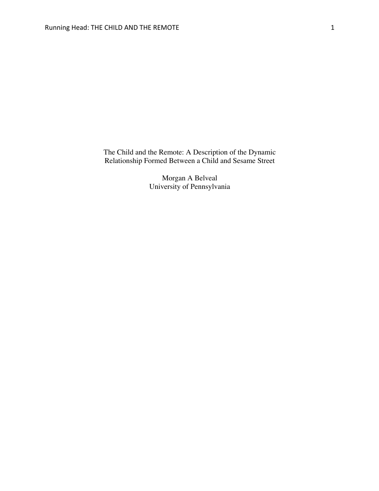The Child and the Remote: A Description of the Dynamic Relationship Formed Between a Child and Sesame Street

> Morgan A Belveal University of Pennsylvania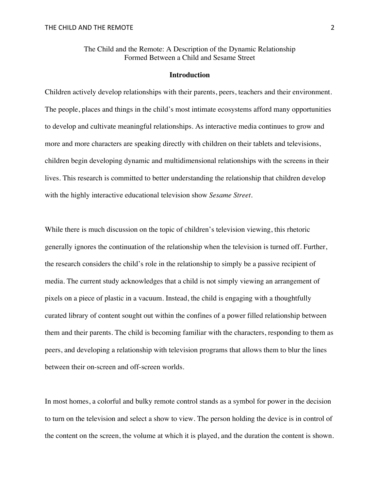The Child and the Remote: A Description of the Dynamic Relationship Formed Between a Child and Sesame Street

#### **Introduction**

Children actively develop relationships with their parents, peers, teachers and their environment. The people, places and things in the child's most intimate ecosystems afford many opportunities to develop and cultivate meaningful relationships. As interactive media continues to grow and more and more characters are speaking directly with children on their tablets and televisions, children begin developing dynamic and multidimensional relationships with the screens in their lives. This research is committed to better understanding the relationship that children develop with the highly interactive educational television show *Sesame Street*.

While there is much discussion on the topic of children's television viewing, this rhetoric generally ignores the continuation of the relationship when the television is turned off. Further, the research considers the child's role in the relationship to simply be a passive recipient of media. The current study acknowledges that a child is not simply viewing an arrangement of pixels on a piece of plastic in a vacuum. Instead, the child is engaging with a thoughtfully curated library of content sought out within the confines of a power filled relationship between them and their parents. The child is becoming familiar with the characters, responding to them as peers, and developing a relationship with television programs that allows them to blur the lines between their on-screen and off-screen worlds.

In most homes, a colorful and bulky remote control stands as a symbol for power in the decision to turn on the television and select a show to view. The person holding the device is in control of the content on the screen, the volume at which it is played, and the duration the content is shown.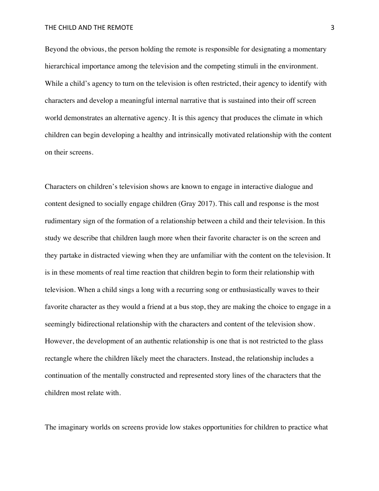### THE CHILD AND THE REMOTE 3

Beyond the obvious, the person holding the remote is responsible for designating a momentary hierarchical importance among the television and the competing stimuli in the environment. While a child's agency to turn on the television is often restricted, their agency to identify with characters and develop a meaningful internal narrative that is sustained into their off screen world demonstrates an alternative agency. It is this agency that produces the climate in which children can begin developing a healthy and intrinsically motivated relationship with the content on their screens.

Characters on children's television shows are known to engage in interactive dialogue and content designed to socially engage children (Gray 2017). This call and response is the most rudimentary sign of the formation of a relationship between a child and their television. In this study we describe that children laugh more when their favorite character is on the screen and they partake in distracted viewing when they are unfamiliar with the content on the television. It is in these moments of real time reaction that children begin to form their relationship with television. When a child sings a long with a recurring song or enthusiastically waves to their favorite character as they would a friend at a bus stop, they are making the choice to engage in a seemingly bidirectional relationship with the characters and content of the television show. However, the development of an authentic relationship is one that is not restricted to the glass rectangle where the children likely meet the characters. Instead, the relationship includes a continuation of the mentally constructed and represented story lines of the characters that the children most relate with.

The imaginary worlds on screens provide low stakes opportunities for children to practice what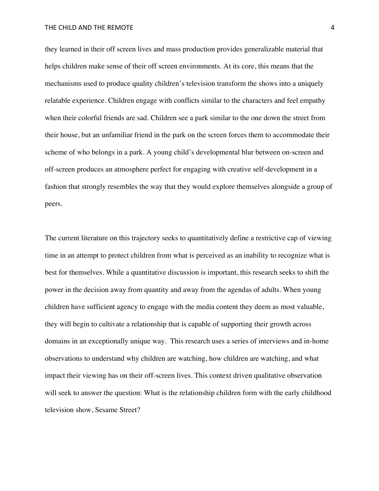they learned in their off screen lives and mass production provides generalizable material that helps children make sense of their off screen environments. At its core, this means that the mechanisms used to produce quality children's television transform the shows into a uniquely relatable experience. Children engage with conflicts similar to the characters and feel empathy when their colorful friends are sad. Children see a park similar to the one down the street from their house, but an unfamiliar friend in the park on the screen forces them to accommodate their scheme of who belongs in a park. A young child's developmental blur between on-screen and off-screen produces an atmosphere perfect for engaging with creative self-development in a fashion that strongly resembles the way that they would explore themselves alongside a group of peers.

The current literature on this trajectory seeks to quantitatively define a restrictive cap of viewing time in an attempt to protect children from what is perceived as an inability to recognize what is best for themselves. While a quantitative discussion is important, this research seeks to shift the power in the decision away from quantity and away from the agendas of adults. When young children have sufficient agency to engage with the media content they deem as most valuable, they will begin to cultivate a relationship that is capable of supporting their growth across domains in an exceptionally unique way. This research uses a series of interviews and in-home observations to understand why children are watching, how children are watching, and what impact their viewing has on their off-screen lives. This context driven qualitative observation will seek to answer the question: What is the relationship children form with the early childhood television show, Sesame Street?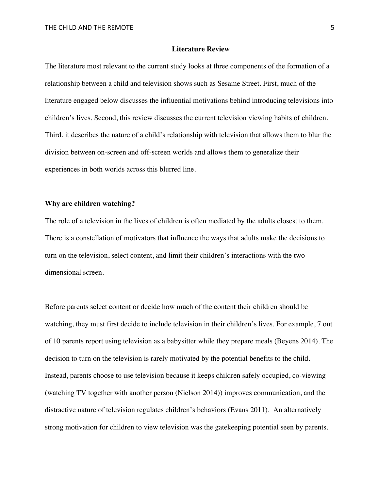### **Literature Review**

The literature most relevant to the current study looks at three components of the formation of a relationship between a child and television shows such as Sesame Street. First, much of the literature engaged below discusses the influential motivations behind introducing televisions into children's lives. Second, this review discusses the current television viewing habits of children. Third, it describes the nature of a child's relationship with television that allows them to blur the division between on-screen and off-screen worlds and allows them to generalize their experiences in both worlds across this blurred line.

### **Why are children watching?**

The role of a television in the lives of children is often mediated by the adults closest to them. There is a constellation of motivators that influence the ways that adults make the decisions to turn on the television, select content, and limit their children's interactions with the two dimensional screen.

Before parents select content or decide how much of the content their children should be watching, they must first decide to include television in their children's lives. For example, 7 out of 10 parents report using television as a babysitter while they prepare meals (Beyens 2014). The decision to turn on the television is rarely motivated by the potential benefits to the child. Instead, parents choose to use television because it keeps children safely occupied, co-viewing (watching TV together with another person (Nielson 2014)) improves communication, and the distractive nature of television regulates children's behaviors (Evans 2011). An alternatively strong motivation for children to view television was the gatekeeping potential seen by parents.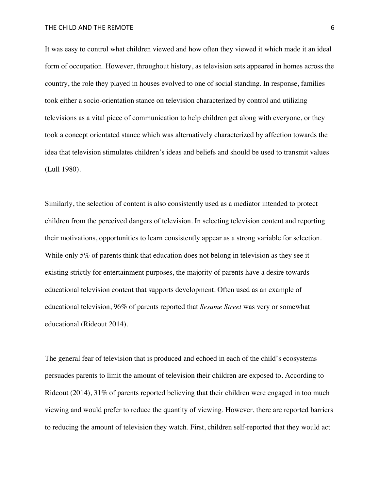THE CHILD AND THE REMOTE **6** 6

It was easy to control what children viewed and how often they viewed it which made it an ideal form of occupation. However, throughout history, as television sets appeared in homes across the country, the role they played in houses evolved to one of social standing. In response, families took either a socio-orientation stance on television characterized by control and utilizing televisions as a vital piece of communication to help children get along with everyone, or they took a concept orientated stance which was alternatively characterized by affection towards the idea that television stimulates children's ideas and beliefs and should be used to transmit values (Lull 1980).

Similarly, the selection of content is also consistently used as a mediator intended to protect children from the perceived dangers of television. In selecting television content and reporting their motivations, opportunities to learn consistently appear as a strong variable for selection. While only 5% of parents think that education does not belong in television as they see it existing strictly for entertainment purposes, the majority of parents have a desire towards educational television content that supports development. Often used as an example of educational television, 96% of parents reported that *Sesame Street* was very or somewhat educational (Rideout 2014).

The general fear of television that is produced and echoed in each of the child's ecosystems persuades parents to limit the amount of television their children are exposed to. According to Rideout (2014), 31% of parents reported believing that their children were engaged in too much viewing and would prefer to reduce the quantity of viewing. However, there are reported barriers to reducing the amount of television they watch. First, children self-reported that they would act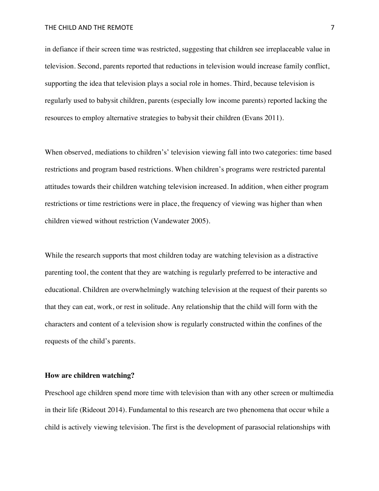in defiance if their screen time was restricted, suggesting that children see irreplaceable value in television. Second, parents reported that reductions in television would increase family conflict, supporting the idea that television plays a social role in homes. Third, because television is regularly used to babysit children, parents (especially low income parents) reported lacking the resources to employ alternative strategies to babysit their children (Evans 2011).

When observed, mediations to children's' television viewing fall into two categories: time based restrictions and program based restrictions. When children's programs were restricted parental attitudes towards their children watching television increased. In addition, when either program restrictions or time restrictions were in place, the frequency of viewing was higher than when children viewed without restriction (Vandewater 2005).

While the research supports that most children today are watching television as a distractive parenting tool, the content that they are watching is regularly preferred to be interactive and educational. Children are overwhelmingly watching television at the request of their parents so that they can eat, work, or rest in solitude. Any relationship that the child will form with the characters and content of a television show is regularly constructed within the confines of the requests of the child's parents.

### **How are children watching?**

Preschool age children spend more time with television than with any other screen or multimedia in their life (Rideout 2014). Fundamental to this research are two phenomena that occur while a child is actively viewing television. The first is the development of parasocial relationships with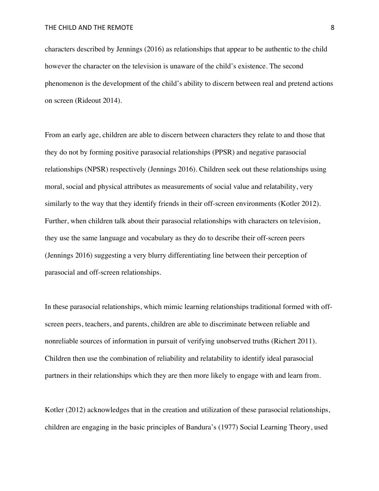characters described by Jennings (2016) as relationships that appear to be authentic to the child however the character on the television is unaware of the child's existence. The second phenomenon is the development of the child's ability to discern between real and pretend actions on screen (Rideout 2014).

From an early age, children are able to discern between characters they relate to and those that they do not by forming positive parasocial relationships (PPSR) and negative parasocial relationships (NPSR) respectively (Jennings 2016). Children seek out these relationships using moral, social and physical attributes as measurements of social value and relatability, very similarly to the way that they identify friends in their off-screen environments (Kotler 2012). Further, when children talk about their parasocial relationships with characters on television, they use the same language and vocabulary as they do to describe their off-screen peers (Jennings 2016) suggesting a very blurry differentiating line between their perception of parasocial and off-screen relationships.

In these parasocial relationships, which mimic learning relationships traditional formed with offscreen peers, teachers, and parents, children are able to discriminate between reliable and nonreliable sources of information in pursuit of verifying unobserved truths (Richert 2011). Children then use the combination of reliability and relatability to identify ideal parasocial partners in their relationships which they are then more likely to engage with and learn from.

Kotler (2012) acknowledges that in the creation and utilization of these parasocial relationships, children are engaging in the basic principles of Bandura's (1977) Social Learning Theory, used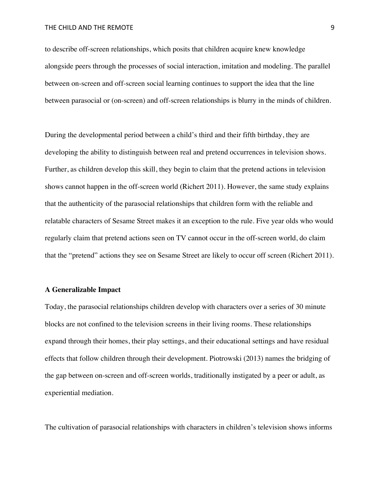to describe off-screen relationships, which posits that children acquire knew knowledge alongside peers through the processes of social interaction, imitation and modeling. The parallel between on-screen and off-screen social learning continues to support the idea that the line between parasocial or (on-screen) and off-screen relationships is blurry in the minds of children.

During the developmental period between a child's third and their fifth birthday, they are developing the ability to distinguish between real and pretend occurrences in television shows. Further, as children develop this skill, they begin to claim that the pretend actions in television shows cannot happen in the off-screen world (Richert 2011). However, the same study explains that the authenticity of the parasocial relationships that children form with the reliable and relatable characters of Sesame Street makes it an exception to the rule. Five year olds who would regularly claim that pretend actions seen on TV cannot occur in the off-screen world, do claim that the "pretend" actions they see on Sesame Street are likely to occur off screen (Richert 2011).

### **A Generalizable Impact**

Today, the parasocial relationships children develop with characters over a series of 30 minute blocks are not confined to the television screens in their living rooms. These relationships expand through their homes, their play settings, and their educational settings and have residual effects that follow children through their development. Piotrowski (2013) names the bridging of the gap between on-screen and off-screen worlds, traditionally instigated by a peer or adult, as experiential mediation.

The cultivation of parasocial relationships with characters in children's television shows informs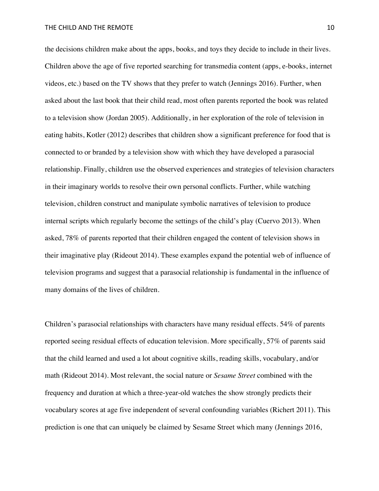the decisions children make about the apps, books, and toys they decide to include in their lives. Children above the age of five reported searching for transmedia content (apps, e-books, internet videos, etc.) based on the TV shows that they prefer to watch (Jennings 2016). Further, when asked about the last book that their child read, most often parents reported the book was related to a television show (Jordan 2005). Additionally, in her exploration of the role of television in eating habits, Kotler (2012) describes that children show a significant preference for food that is connected to or branded by a television show with which they have developed a parasocial relationship. Finally, children use the observed experiences and strategies of television characters in their imaginary worlds to resolve their own personal conflicts. Further, while watching television, children construct and manipulate symbolic narratives of television to produce internal scripts which regularly become the settings of the child's play (Cuervo 2013). When asked, 78% of parents reported that their children engaged the content of television shows in their imaginative play (Rideout 2014). These examples expand the potential web of influence of television programs and suggest that a parasocial relationship is fundamental in the influence of many domains of the lives of children.

Children's parasocial relationships with characters have many residual effects. 54% of parents reported seeing residual effects of education television. More specifically, 57% of parents said that the child learned and used a lot about cognitive skills, reading skills, vocabulary, and/or math (Rideout 2014). Most relevant, the social nature or *Sesame Street* combined with the frequency and duration at which a three-year-old watches the show strongly predicts their vocabulary scores at age five independent of several confounding variables (Richert 2011). This prediction is one that can uniquely be claimed by Sesame Street which many (Jennings 2016,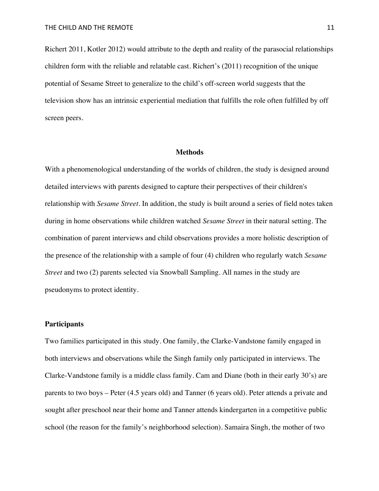Richert 2011, Kotler 2012) would attribute to the depth and reality of the parasocial relationships children form with the reliable and relatable cast. Richert's (2011) recognition of the unique potential of Sesame Street to generalize to the child's off-screen world suggests that the television show has an intrinsic experiential mediation that fulfills the role often fulfilled by off screen peers.

#### **Methods**

With a phenomenological understanding of the worlds of children, the study is designed around detailed interviews with parents designed to capture their perspectives of their children's relationship with *Sesame Street*. In addition, the study is built around a series of field notes taken during in home observations while children watched *Sesame Street* in their natural setting. The combination of parent interviews and child observations provides a more holistic description of the presence of the relationship with a sample of four (4) children who regularly watch *Sesame Street* and two (2) parents selected via Snowball Sampling. All names in the study are pseudonyms to protect identity.

# **Participants**

Two families participated in this study. One family, the Clarke-Vandstone family engaged in both interviews and observations while the Singh family only participated in interviews. The Clarke-Vandstone family is a middle class family. Cam and Diane (both in their early 30's) are parents to two boys – Peter (4.5 years old) and Tanner (6 years old). Peter attends a private and sought after preschool near their home and Tanner attends kindergarten in a competitive public school (the reason for the family's neighborhood selection). Samaira Singh, the mother of two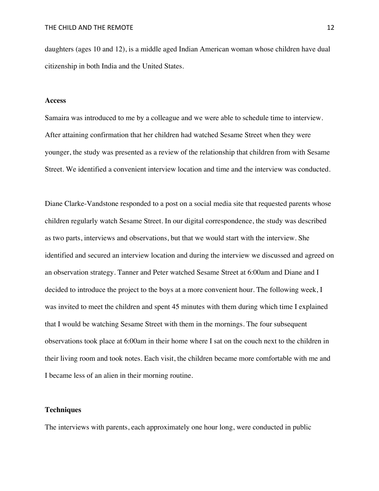daughters (ages 10 and 12), is a middle aged Indian American woman whose children have dual citizenship in both India and the United States.

#### **Access**

Samaira was introduced to me by a colleague and we were able to schedule time to interview. After attaining confirmation that her children had watched Sesame Street when they were younger, the study was presented as a review of the relationship that children from with Sesame Street. We identified a convenient interview location and time and the interview was conducted.

Diane Clarke-Vandstone responded to a post on a social media site that requested parents whose children regularly watch Sesame Street. In our digital correspondence, the study was described as two parts, interviews and observations, but that we would start with the interview. She identified and secured an interview location and during the interview we discussed and agreed on an observation strategy. Tanner and Peter watched Sesame Street at 6:00am and Diane and I decided to introduce the project to the boys at a more convenient hour. The following week, I was invited to meet the children and spent 45 minutes with them during which time I explained that I would be watching Sesame Street with them in the mornings. The four subsequent observations took place at 6:00am in their home where I sat on the couch next to the children in their living room and took notes. Each visit, the children became more comfortable with me and I became less of an alien in their morning routine.

# **Techniques**

The interviews with parents, each approximately one hour long, were conducted in public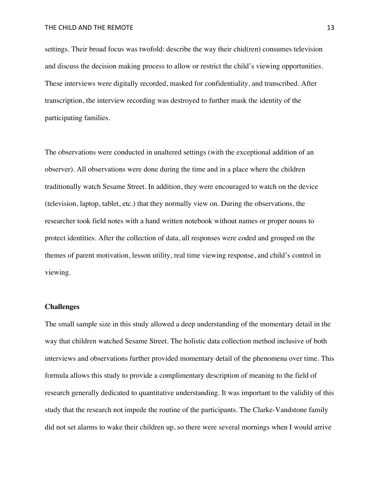settings. Their broad focus was twofold: describe the way their chid(ren) consumes television and discuss the decision making process to allow or restrict the child's viewing opportunities. These interviews were digitally recorded, masked for confidentiality, and transcribed. After transcription, the interview recording was destroyed to further mask the identity of the participating families.

The observations were conducted in unaltered settings (with the exceptional addition of an observer). All observations were done during the time and in a place where the children traditionally watch Sesame Street. In addition, they were encouraged to watch on the device (television, laptop, tablet, etc.) that they normally view on. During the observations, the researcher took field notes with a hand written notebook without names or proper nouns to protect identities. After the collection of data, all responses were coded and grouped on the themes of parent motivation, lesson utility, real time viewing response, and child's control in viewing.

# **Challenges**

The small sample size in this study allowed a deep understanding of the momentary detail in the way that children watched Sesame Street. The holistic data collection method inclusive of both interviews and observations further provided momentary detail of the phenomena over time. This formula allows this study to provide a complimentary description of meaning to the field of research generally dedicated to quantitative understanding. It was important to the validity of this study that the research not impede the routine of the participants. The Clarke-Vandstone family did not set alarms to wake their children up, so there were several mornings when I would arrive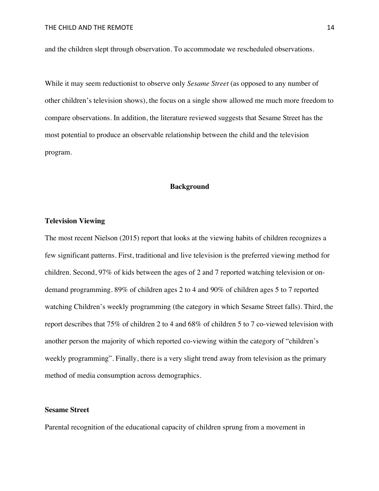and the children slept through observation. To accommodate we rescheduled observations.

While it may seem reductionist to observe only *Sesame Street* (as opposed to any number of other children's television shows), the focus on a single show allowed me much more freedom to compare observations. In addition, the literature reviewed suggests that Sesame Street has the most potential to produce an observable relationship between the child and the television program.

# **Background**

#### **Television Viewing**

The most recent Nielson (2015) report that looks at the viewing habits of children recognizes a few significant patterns. First, traditional and live television is the preferred viewing method for children. Second, 97% of kids between the ages of 2 and 7 reported watching television or ondemand programming. 89% of children ages 2 to 4 and 90% of children ages 5 to 7 reported watching Children's weekly programming (the category in which Sesame Street falls). Third, the report describes that 75% of children 2 to 4 and 68% of children 5 to 7 co-viewed television with another person the majority of which reported co-viewing within the category of "children's weekly programming". Finally, there is a very slight trend away from television as the primary method of media consumption across demographics.

# **Sesame Street**

Parental recognition of the educational capacity of children sprung from a movement in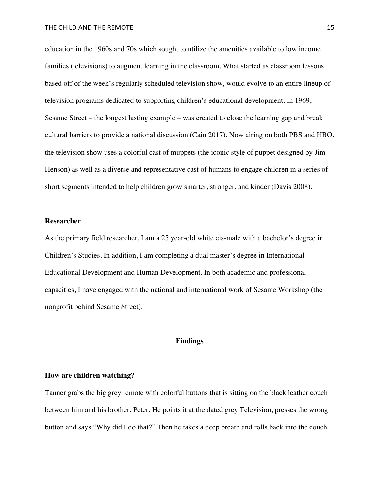education in the 1960s and 70s which sought to utilize the amenities available to low income families (televisions) to augment learning in the classroom. What started as classroom lessons based off of the week's regularly scheduled television show, would evolve to an entire lineup of television programs dedicated to supporting children's educational development. In 1969, Sesame Street – the longest lasting example – was created to close the learning gap and break cultural barriers to provide a national discussion (Cain 2017). Now airing on both PBS and HBO, the television show uses a colorful cast of muppets (the iconic style of puppet designed by Jim Henson) as well as a diverse and representative cast of humans to engage children in a series of short segments intended to help children grow smarter, stronger, and kinder (Davis 2008).

#### **Researcher**

As the primary field researcher, I am a 25 year-old white cis-male with a bachelor's degree in Children's Studies. In addition, I am completing a dual master's degree in International Educational Development and Human Development. In both academic and professional capacities, I have engaged with the national and international work of Sesame Workshop (the nonprofit behind Sesame Street).

# **Findings**

### **How are children watching?**

Tanner grabs the big grey remote with colorful buttons that is sitting on the black leather couch between him and his brother, Peter. He points it at the dated grey Television, presses the wrong button and says "Why did I do that?" Then he takes a deep breath and rolls back into the couch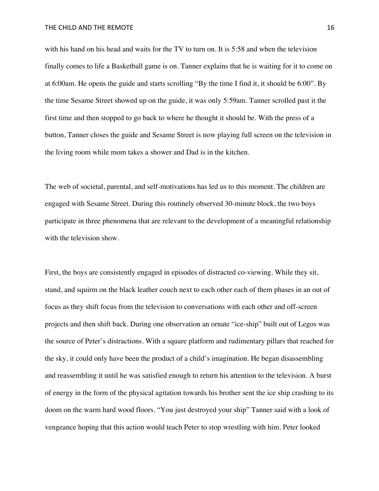with his hand on his head and waits for the TV to turn on. It is 5:58 and when the television finally comes to life a Basketball game is on. Tanner explains that he is waiting for it to come on at 6:00am. He opens the guide and starts scrolling "By the time I find it, it should be 6:00". By the time Sesame Street showed up on the guide, it was only 5:59am. Tanner scrolled past it the first time and then stopped to go back to where he thought it should be. With the press of a button, Tanner closes the guide and Sesame Street is now playing full screen on the television in the living room while mom takes a shower and Dad is in the kitchen.

The web of societal, parental, and self-motivations has led us to this moment. The children are engaged with Sesame Street. During this routinely observed 30-minute block, the two boys participate in three phenomena that are relevant to the development of a meaningful relationship with the television show.

First, the boys are consistently engaged in episodes of distracted co-viewing. While they sit, stand, and squirm on the black leather couch next to each other each of them phases in an out of focus as they shift focus from the television to conversations with each other and off-screen projects and then shift back. During one observation an ornate "ice-ship" built out of Legos was the source of Peter's distractions. With a square platform and rudimentary pillars that reached for the sky, it could only have been the product of a child's imagination. He began disassembling and reassembling it until he was satisfied enough to return his attention to the television. A burst of energy in the form of the physical agitation towards his brother sent the ice ship crashing to its doom on the warm hard wood floors. "You just destroyed your ship" Tanner said with a look of vengeance hoping that this action would teach Peter to stop wrestling with him. Peter looked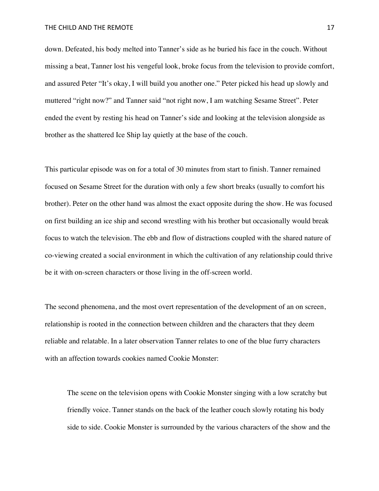down. Defeated, his body melted into Tanner's side as he buried his face in the couch. Without missing a beat, Tanner lost his vengeful look, broke focus from the television to provide comfort, and assured Peter "It's okay, I will build you another one." Peter picked his head up slowly and muttered "right now?" and Tanner said "not right now, I am watching Sesame Street". Peter ended the event by resting his head on Tanner's side and looking at the television alongside as brother as the shattered Ice Ship lay quietly at the base of the couch.

This particular episode was on for a total of 30 minutes from start to finish. Tanner remained focused on Sesame Street for the duration with only a few short breaks (usually to comfort his brother). Peter on the other hand was almost the exact opposite during the show. He was focused on first building an ice ship and second wrestling with his brother but occasionally would break focus to watch the television. The ebb and flow of distractions coupled with the shared nature of co-viewing created a social environment in which the cultivation of any relationship could thrive be it with on-screen characters or those living in the off-screen world.

The second phenomena, and the most overt representation of the development of an on screen, relationship is rooted in the connection between children and the characters that they deem reliable and relatable. In a later observation Tanner relates to one of the blue furry characters with an affection towards cookies named Cookie Monster:

The scene on the television opens with Cookie Monster singing with a low scratchy but friendly voice. Tanner stands on the back of the leather couch slowly rotating his body side to side. Cookie Monster is surrounded by the various characters of the show and the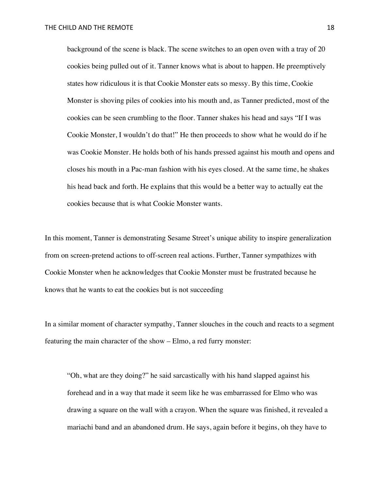background of the scene is black. The scene switches to an open oven with a tray of 20 cookies being pulled out of it. Tanner knows what is about to happen. He preemptively states how ridiculous it is that Cookie Monster eats so messy. By this time, Cookie Monster is shoving piles of cookies into his mouth and, as Tanner predicted, most of the cookies can be seen crumbling to the floor. Tanner shakes his head and says "If I was Cookie Monster, I wouldn't do that!" He then proceeds to show what he would do if he was Cookie Monster. He holds both of his hands pressed against his mouth and opens and closes his mouth in a Pac-man fashion with his eyes closed. At the same time, he shakes his head back and forth. He explains that this would be a better way to actually eat the cookies because that is what Cookie Monster wants.

In this moment, Tanner is demonstrating Sesame Street's unique ability to inspire generalization from on screen-pretend actions to off-screen real actions. Further, Tanner sympathizes with Cookie Monster when he acknowledges that Cookie Monster must be frustrated because he knows that he wants to eat the cookies but is not succeeding

In a similar moment of character sympathy, Tanner slouches in the couch and reacts to a segment featuring the main character of the show – Elmo, a red furry monster:

"Oh, what are they doing?" he said sarcastically with his hand slapped against his forehead and in a way that made it seem like he was embarrassed for Elmo who was drawing a square on the wall with a crayon. When the square was finished, it revealed a mariachi band and an abandoned drum. He says, again before it begins, oh they have to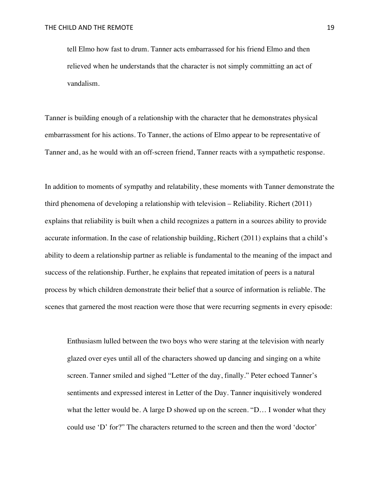tell Elmo how fast to drum. Tanner acts embarrassed for his friend Elmo and then relieved when he understands that the character is not simply committing an act of vandalism.

Tanner is building enough of a relationship with the character that he demonstrates physical embarrassment for his actions. To Tanner, the actions of Elmo appear to be representative of Tanner and, as he would with an off-screen friend, Tanner reacts with a sympathetic response.

In addition to moments of sympathy and relatability, these moments with Tanner demonstrate the third phenomena of developing a relationship with television – Reliability. Richert (2011) explains that reliability is built when a child recognizes a pattern in a sources ability to provide accurate information. In the case of relationship building, Richert (2011) explains that a child's ability to deem a relationship partner as reliable is fundamental to the meaning of the impact and success of the relationship. Further, he explains that repeated imitation of peers is a natural process by which children demonstrate their belief that a source of information is reliable. The scenes that garnered the most reaction were those that were recurring segments in every episode:

Enthusiasm lulled between the two boys who were staring at the television with nearly glazed over eyes until all of the characters showed up dancing and singing on a white screen. Tanner smiled and sighed "Letter of the day, finally." Peter echoed Tanner's sentiments and expressed interest in Letter of the Day. Tanner inquisitively wondered what the letter would be. A large D showed up on the screen. "D... I wonder what they could use 'D' for?" The characters returned to the screen and then the word 'doctor'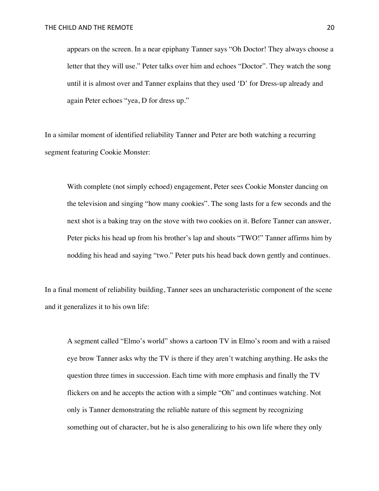appears on the screen. In a near epiphany Tanner says "Oh Doctor! They always choose a letter that they will use." Peter talks over him and echoes "Doctor". They watch the song until it is almost over and Tanner explains that they used 'D' for Dress-up already and again Peter echoes "yea, D for dress up."

In a similar moment of identified reliability Tanner and Peter are both watching a recurring segment featuring Cookie Monster:

With complete (not simply echoed) engagement, Peter sees Cookie Monster dancing on the television and singing "how many cookies". The song lasts for a few seconds and the next shot is a baking tray on the stove with two cookies on it. Before Tanner can answer, Peter picks his head up from his brother's lap and shouts "TWO!" Tanner affirms him by nodding his head and saying "two." Peter puts his head back down gently and continues.

In a final moment of reliability building, Tanner sees an uncharacteristic component of the scene and it generalizes it to his own life:

A segment called "Elmo's world" shows a cartoon TV in Elmo's room and with a raised eye brow Tanner asks why the TV is there if they aren't watching anything. He asks the question three times in succession. Each time with more emphasis and finally the TV flickers on and he accepts the action with a simple "Oh" and continues watching. Not only is Tanner demonstrating the reliable nature of this segment by recognizing something out of character, but he is also generalizing to his own life where they only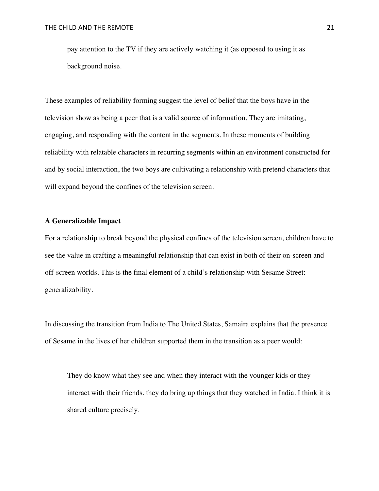pay attention to the TV if they are actively watching it (as opposed to using it as background noise.

These examples of reliability forming suggest the level of belief that the boys have in the television show as being a peer that is a valid source of information. They are imitating, engaging, and responding with the content in the segments. In these moments of building reliability with relatable characters in recurring segments within an environment constructed for and by social interaction, the two boys are cultivating a relationship with pretend characters that will expand beyond the confines of the television screen.

# **A Generalizable Impact**

For a relationship to break beyond the physical confines of the television screen, children have to see the value in crafting a meaningful relationship that can exist in both of their on-screen and off-screen worlds. This is the final element of a child's relationship with Sesame Street: generalizability.

In discussing the transition from India to The United States, Samaira explains that the presence of Sesame in the lives of her children supported them in the transition as a peer would:

They do know what they see and when they interact with the younger kids or they interact with their friends, they do bring up things that they watched in India. I think it is shared culture precisely.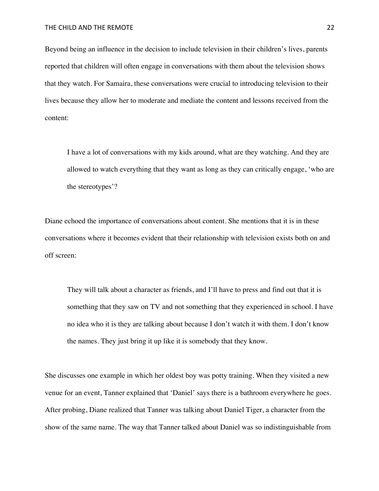Beyond being an influence in the decision to include television in their children's lives, parents reported that children will often engage in conversations with them about the television shows that they watch. For Samaira, these conversations were crucial to introducing television to their lives because they allow her to moderate and mediate the content and lessons received from the content:

I have a lot of conversations with my kids around, what are they watching. And they are allowed to watch everything that they want as long as they can critically engage, 'who are the stereotypes'?

Diane echoed the importance of conversations about content. She mentions that it is in these conversations where it becomes evident that their relationship with television exists both on and off screen:

They will talk about a character as friends, and I'll have to press and find out that it is something that they saw on TV and not something that they experienced in school. I have no idea who it is they are talking about because I don't watch it with them. I don't know the names. They just bring it up like it is somebody that they know.

She discusses one example in which her oldest boy was potty training. When they visited a new venue for an event, Tanner explained that 'Daniel' says there is a bathroom everywhere he goes. After probing, Diane realized that Tanner was talking about Daniel Tiger, a character from the show of the same name. The way that Tanner talked about Daniel was so indistinguishable from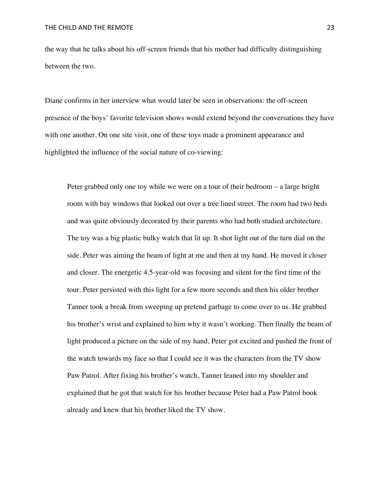the way that he talks about his off-screen friends that his mother had difficulty distinguishing between the two.

Diane confirms in her interview what would later be seen in observations: the off-screen presence of the boys' favorite television shows would extend beyond the conversations they have with one another. On one site visit, one of these toys made a prominent appearance and highlighted the influence of the social nature of co-viewing:

Peter grabbed only one toy while we were on a tour of their bedroom – a large bright room with bay windows that looked out over a tree lined street. The room had two beds and was quite obviously decorated by their parents who had both studied architecture. The toy was a big plastic bulky watch that lit up. It shot light out of the turn dial on the side. Peter was aiming the beam of light at me and then at my hand. He moved it closer and closer. The energetic 4.5-year-old was focusing and silent for the first time of the tour. Peter persisted with this light for a few more seconds and then his older brother Tanner took a break from sweeping up pretend garbage to come over to us. He grabbed his brother's wrist and explained to him why it wasn't working. Then finally the beam of light produced a picture on the side of my hand, Peter got excited and pushed the front of the watch towards my face so that I could see it was the characters from the TV show Paw Patrol. After fixing his brother's watch, Tanner leaned into my shoulder and explained that he got that watch for his brother because Peter had a Paw Patrol book already and knew that his brother liked the TV show.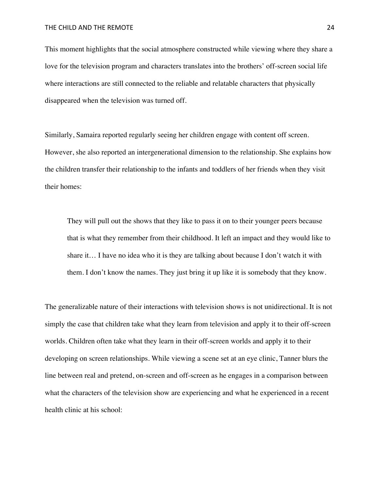This moment highlights that the social atmosphere constructed while viewing where they share a love for the television program and characters translates into the brothers' off-screen social life where interactions are still connected to the reliable and relatable characters that physically disappeared when the television was turned off.

Similarly, Samaira reported regularly seeing her children engage with content off screen. However, she also reported an intergenerational dimension to the relationship. She explains how the children transfer their relationship to the infants and toddlers of her friends when they visit their homes:

They will pull out the shows that they like to pass it on to their younger peers because that is what they remember from their childhood. It left an impact and they would like to share it… I have no idea who it is they are talking about because I don't watch it with them. I don't know the names. They just bring it up like it is somebody that they know.

The generalizable nature of their interactions with television shows is not unidirectional. It is not simply the case that children take what they learn from television and apply it to their off-screen worlds. Children often take what they learn in their off-screen worlds and apply it to their developing on screen relationships. While viewing a scene set at an eye clinic, Tanner blurs the line between real and pretend, on-screen and off-screen as he engages in a comparison between what the characters of the television show are experiencing and what he experienced in a recent health clinic at his school: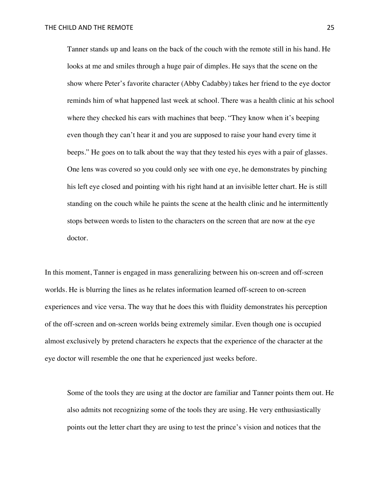Tanner stands up and leans on the back of the couch with the remote still in his hand. He looks at me and smiles through a huge pair of dimples. He says that the scene on the show where Peter's favorite character (Abby Cadabby) takes her friend to the eye doctor reminds him of what happened last week at school. There was a health clinic at his school where they checked his ears with machines that beep. "They know when it's beeping even though they can't hear it and you are supposed to raise your hand every time it beeps." He goes on to talk about the way that they tested his eyes with a pair of glasses. One lens was covered so you could only see with one eye, he demonstrates by pinching his left eye closed and pointing with his right hand at an invisible letter chart. He is still standing on the couch while he paints the scene at the health clinic and he intermittently stops between words to listen to the characters on the screen that are now at the eye doctor.

In this moment, Tanner is engaged in mass generalizing between his on-screen and off-screen worlds. He is blurring the lines as he relates information learned off-screen to on-screen experiences and vice versa. The way that he does this with fluidity demonstrates his perception of the off-screen and on-screen worlds being extremely similar. Even though one is occupied almost exclusively by pretend characters he expects that the experience of the character at the eye doctor will resemble the one that he experienced just weeks before.

Some of the tools they are using at the doctor are familiar and Tanner points them out. He also admits not recognizing some of the tools they are using. He very enthusiastically points out the letter chart they are using to test the prince's vision and notices that the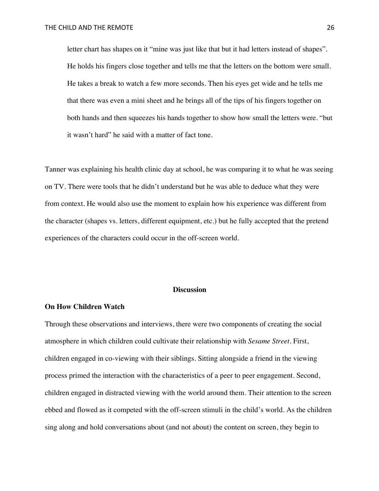letter chart has shapes on it "mine was just like that but it had letters instead of shapes". He holds his fingers close together and tells me that the letters on the bottom were small. He takes a break to watch a few more seconds. Then his eyes get wide and he tells me that there was even a mini sheet and he brings all of the tips of his fingers together on both hands and then squeezes his hands together to show how small the letters were. "but it wasn't hard" he said with a matter of fact tone.

Tanner was explaining his health clinic day at school, he was comparing it to what he was seeing on TV. There were tools that he didn't understand but he was able to deduce what they were from context. He would also use the moment to explain how his experience was different from the character (shapes vs. letters, different equipment, etc.) but he fully accepted that the pretend experiences of the characters could occur in the off-screen world.

### **Discussion**

# **On How Children Watch**

Through these observations and interviews, there were two components of creating the social atmosphere in which children could cultivate their relationship with *Sesame Street*. First, children engaged in co-viewing with their siblings. Sitting alongside a friend in the viewing process primed the interaction with the characteristics of a peer to peer engagement. Second, children engaged in distracted viewing with the world around them. Their attention to the screen ebbed and flowed as it competed with the off-screen stimuli in the child's world. As the children sing along and hold conversations about (and not about) the content on screen, they begin to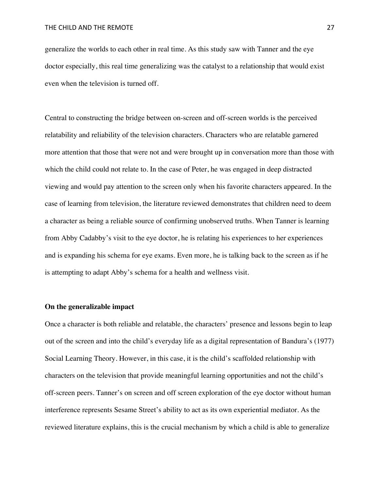generalize the worlds to each other in real time. As this study saw with Tanner and the eye doctor especially, this real time generalizing was the catalyst to a relationship that would exist even when the television is turned off.

Central to constructing the bridge between on-screen and off-screen worlds is the perceived relatability and reliability of the television characters. Characters who are relatable garnered more attention that those that were not and were brought up in conversation more than those with which the child could not relate to. In the case of Peter, he was engaged in deep distracted viewing and would pay attention to the screen only when his favorite characters appeared. In the case of learning from television, the literature reviewed demonstrates that children need to deem a character as being a reliable source of confirming unobserved truths. When Tanner is learning from Abby Cadabby's visit to the eye doctor, he is relating his experiences to her experiences and is expanding his schema for eye exams. Even more, he is talking back to the screen as if he is attempting to adapt Abby's schema for a health and wellness visit.

# **On the generalizable impact**

Once a character is both reliable and relatable, the characters' presence and lessons begin to leap out of the screen and into the child's everyday life as a digital representation of Bandura's (1977) Social Learning Theory. However, in this case, it is the child's scaffolded relationship with characters on the television that provide meaningful learning opportunities and not the child's off-screen peers. Tanner's on screen and off screen exploration of the eye doctor without human interference represents Sesame Street's ability to act as its own experiential mediator. As the reviewed literature explains, this is the crucial mechanism by which a child is able to generalize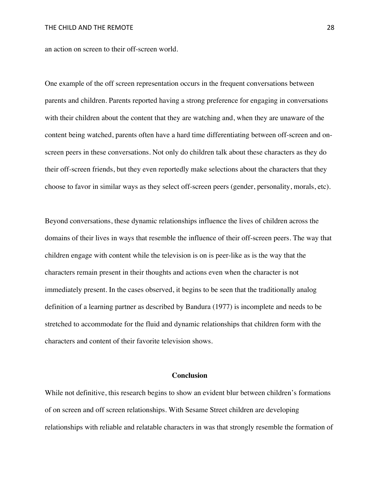an action on screen to their off-screen world.

One example of the off screen representation occurs in the frequent conversations between parents and children. Parents reported having a strong preference for engaging in conversations with their children about the content that they are watching and, when they are unaware of the content being watched, parents often have a hard time differentiating between off-screen and onscreen peers in these conversations. Not only do children talk about these characters as they do their off-screen friends, but they even reportedly make selections about the characters that they choose to favor in similar ways as they select off-screen peers (gender, personality, morals, etc).

Beyond conversations, these dynamic relationships influence the lives of children across the domains of their lives in ways that resemble the influence of their off-screen peers. The way that children engage with content while the television is on is peer-like as is the way that the characters remain present in their thoughts and actions even when the character is not immediately present. In the cases observed, it begins to be seen that the traditionally analog definition of a learning partner as described by Bandura (1977) is incomplete and needs to be stretched to accommodate for the fluid and dynamic relationships that children form with the characters and content of their favorite television shows.

# **Conclusion**

While not definitive, this research begins to show an evident blur between children's formations of on screen and off screen relationships. With Sesame Street children are developing relationships with reliable and relatable characters in was that strongly resemble the formation of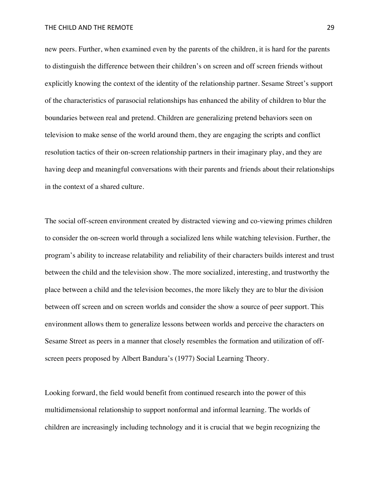new peers. Further, when examined even by the parents of the children, it is hard for the parents to distinguish the difference between their children's on screen and off screen friends without explicitly knowing the context of the identity of the relationship partner. Sesame Street's support of the characteristics of parasocial relationships has enhanced the ability of children to blur the boundaries between real and pretend. Children are generalizing pretend behaviors seen on television to make sense of the world around them, they are engaging the scripts and conflict resolution tactics of their on-screen relationship partners in their imaginary play, and they are having deep and meaningful conversations with their parents and friends about their relationships in the context of a shared culture.

The social off-screen environment created by distracted viewing and co-viewing primes children to consider the on-screen world through a socialized lens while watching television. Further, the program's ability to increase relatability and reliability of their characters builds interest and trust between the child and the television show. The more socialized, interesting, and trustworthy the place between a child and the television becomes, the more likely they are to blur the division between off screen and on screen worlds and consider the show a source of peer support. This environment allows them to generalize lessons between worlds and perceive the characters on Sesame Street as peers in a manner that closely resembles the formation and utilization of offscreen peers proposed by Albert Bandura's (1977) Social Learning Theory.

Looking forward, the field would benefit from continued research into the power of this multidimensional relationship to support nonformal and informal learning. The worlds of children are increasingly including technology and it is crucial that we begin recognizing the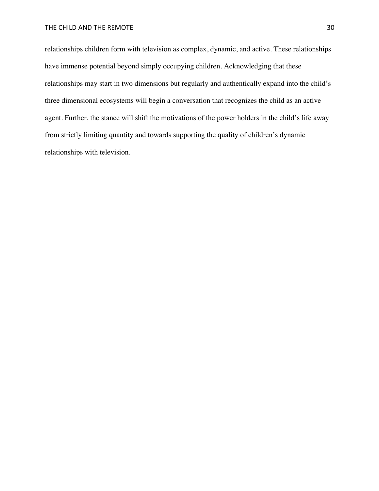relationships children form with television as complex, dynamic, and active. These relationships have immense potential beyond simply occupying children. Acknowledging that these relationships may start in two dimensions but regularly and authentically expand into the child's three dimensional ecosystems will begin a conversation that recognizes the child as an active agent. Further, the stance will shift the motivations of the power holders in the child's life away from strictly limiting quantity and towards supporting the quality of children's dynamic relationships with television.